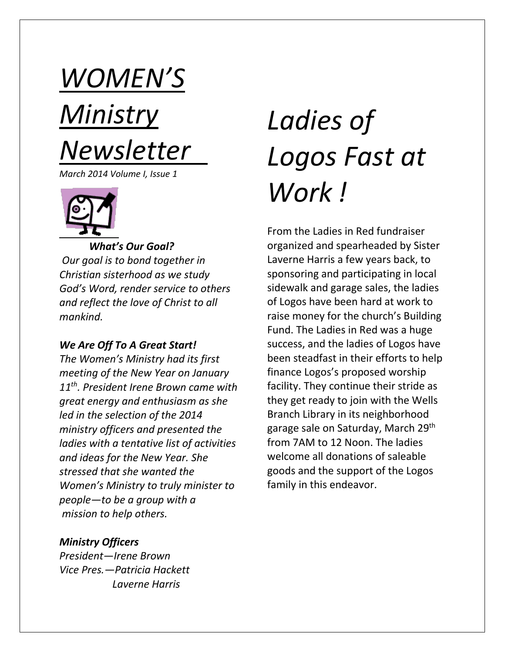# *WOMEN'S Ministry Newsletter*

*March 2014 Volume I, Issue 1*



*What's Our Goal?*

*Our goal is to bond together in Christian sisterhood as we study God's Word, render service to others and reflect the love of Christ to all mankind.*

#### *We Are Off To A Great Start!*

*The Women's Ministry had its first meeting of the New Year on January 11th . President Irene Brown came with great energy and enthusiasm as she led in the selection of the 2014 ministry officers and presented the ladies with a tentative list of activities and ideas for the New Year. She stressed that she wanted the Women's Ministry to truly minister to people—to be a group with a mission to help others.*

# *Ladies of Logos Fast at Work !*

From the Ladies in Red fundraiser organized and spearheaded by Sister Laverne Harris a few years back, to sponsoring and participating in local sidewalk and garage sales, the ladies of Logos have been hard at work to raise money for the church's Building Fund. The Ladies in Red was a huge success, and the ladies of Logos have been steadfast in their efforts to help finance Logos's proposed worship facility. They continue their stride as they get ready to join with the Wells Branch Library in its neighborhood garage sale on Saturday, March 29<sup>th</sup> from 7AM to 12 Noon. The ladies welcome all donations of saleable goods and the support of the Logos family in this endeavor.

#### *Ministry Officers*

*President—Irene Brown Vice Pres.—Patricia Hackett Laverne Harris*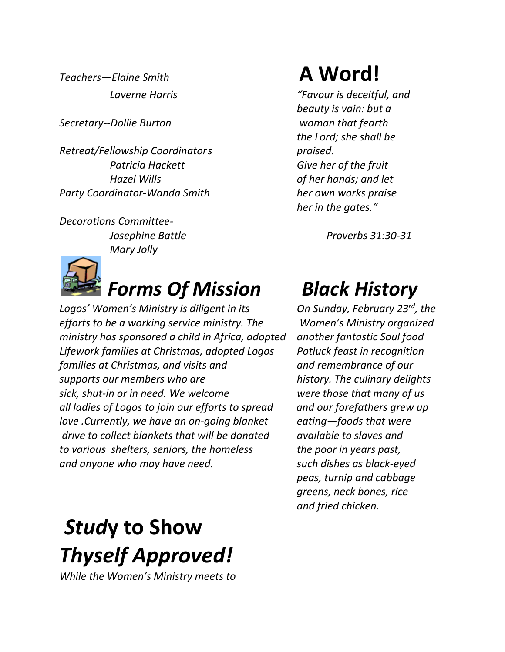*Secretary--Dollie Burton woman that fearth* 

*Retreat/Fellowship Coordinators praised. Patricia Hackett Give her of the fruit Hazel Wills of her hands; and let Party Coordinator-Wanda Smith her own works praise*

*Decorations Committee- Mary Jolly* 



#### *Forms Of Mission Black History*

*Logos' Women's Ministry is diligent in its efforts to be a working service ministry. The Women's Ministry organized ministry has sponsored a child in Africa, adopted another fantastic Soul food Lifework families at Christmas, adopted Logos Potluck feast in recognition families at Christmas, and visits and and remembrance of our supports our members who are* history. The culinary delights *sick, shut-in or in need. We welcome were those that many of us all ladies of Logos to join our efforts to spread and our forefathers grew up love .Currently, we have an on-going blanket eating—foods that were drive to collect blankets that will be donated available to slaves and to various shelters, seniors, the homeless the poor in years past, and anyone who may have need. such dishes as black-eyed*

## *Stud***y to Show** *Thyself Approved!*

*While the Women's Ministry meets to*

## *Teachers—Elaine Smith* **A Word!**

 *Laverne Harris "Favour is deceitful, and beauty is vain: but a the Lord; she shall be her in the gates."*

 *Josephine Battle Proverbs 31:30-31*

On Sunday, February 23<sup>rd</sup>, the *peas, turnip and cabbage greens, neck bones, rice and fried chicken.*